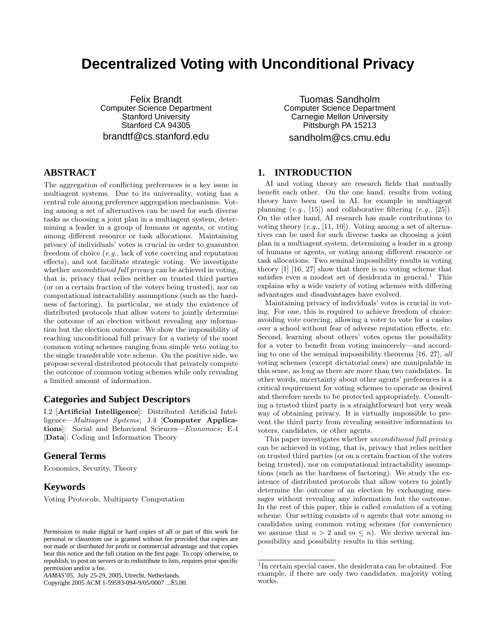# **Decentralized Voting with Unconditional Privacy**

Felix Brandt Computer Science Department Stanford University Stanford CA 94305 brandtf@cs.stanford.edu

# **ABSTRACT**

The aggregation of conflicting preferences is a key issue in multiagent systems. Due to its universality, voting has a central role among preference aggregation mechanisms. Voting among a set of alternatives can be used for such diverse tasks as choosing a joint plan in a multiagent system, determining a leader in a group of humans or agents, or voting among different resource or task allocations. Maintaining privacy of individuals' votes is crucial in order to guarantee freedom of choice (e.g., lack of vote coercing and reputation effects), and not facilitate strategic voting. We investigate whether *unconditional full privacy* can be achieved in voting, that is, privacy that relies neither on trusted third parties (or on a certain fraction of the voters being trusted), nor on computational intractability assumptions (such as the hardness of factoring). In particular, we study the existence of distributed protocols that allow voters to jointly determine the outcome of an election without revealing any information but the election outcome. We show the impossibility of reaching unconditional full privacy for a variety of the most common voting schemes ranging from simple veto voting to the single transferable vote scheme. On the positive side, we propose several distributed protocols that privately compute the outcome of common voting schemes while only revealing a limited amount of information.

### **Categories and Subject Descriptors**

I.2 [Artificial Intelligence]: Distributed Artificial Intelligence—Multiagent Systems; J.4 [Computer Applications]: Social and Behavioral Sciences—Economics; E.4 [Data]: Coding and Information Theory

### **General Terms**

Economics, Security, Theory

## **Keywords**

Voting Protocols, Multiparty Computation

Copyright 2005 ACM 1-59593-094-9/05/0007 ...\$5.00.

Tuomas Sandholm Computer Science Department Carnegie Mellon University Pittsburgh PA 15213 sandholm@cs.cmu.edu

# **1. INTRODUCTION**

AI and voting theory are research fields that mutually benefit each other. On the one hand, results from voting theory have been used in AI, for example in multiagent planning  $(e.g., [15])$  and collaborative filtering  $(e.g., [25])$ . On the other hand, AI research has made contributions to voting theory  $(e.g., [11, 10])$ . Voting among a set of alternatives can be used for such diverse tasks as choosing a joint plan in a multiagent system, determining a leader in a group of humans or agents, or voting among different resource or task allocations. Two seminal impossibility results in voting theory [1] [16, 27] show that there is no voting scheme that satisfies even a modest set of desiderata in general.<sup>1</sup> This explains why a wide variety of voting schemes with differing advantages and disadvantages have evolved.

Maintaining privacy of individuals' votes is crucial in voting. For one, this is required to achieve freedom of choice: avoiding vote coercing, allowing a voter to vote for a casino over a school without fear of adverse reputation effects, etc. Second, learning about others' votes opens the possibility for a voter to benefit from voting insincerely—and according to one of the seminal impossibility theorems [16, 27], all voting schemes (except dictatorial ones) are manipulable in this sense, as long as there are more than two candidates. In other words, uncertainty about other agents' preferences is a critical requirement for voting schemes to operate as desired and therefore needs to be protected appropriately. Consulting a trusted third party is a straightforward but very weak way of obtaining privacy. It is virtually impossible to prevent the third party from revealing sensitive information to voters, candidates, or other agents.

This paper investigates whether unconditional full privacy can be achieved in voting, that is, privacy that relies neither on trusted third parties (or on a certain fraction of the voters being trusted), nor on computational intractability assumptions (such as the hardness of factoring). We study the existence of distributed protocols that allow voters to jointly determine the outcome of an election by exchanging messages without revealing any information but the outcome. In the rest of this paper, this is called emulation of a voting scheme. Our setting consists of n agents that vote among  $m$ candidates using common voting schemes (for convenience we assume that  $n > 2$  and  $m \leq n$ ). We derive several impossibility and possibility results in this setting.

Permission to make digital or hard copies of all or part of this work for personal or classroom use is granted without fee provided that copies are not made or distributed for profit or commercial advantage and that copies bear this notice and the full citation on the first page. To copy otherwise, to republish, to post on servers or to redistribute to lists, requires prior specific permission and/or a fee.

*AAMAS'05,* July 25-29, 2005, Utrecht, Netherlands.

<sup>&</sup>lt;sup>1</sup>In certain special cases, the desiderata can be obtained. For example, if there are only two candidates, majority voting works.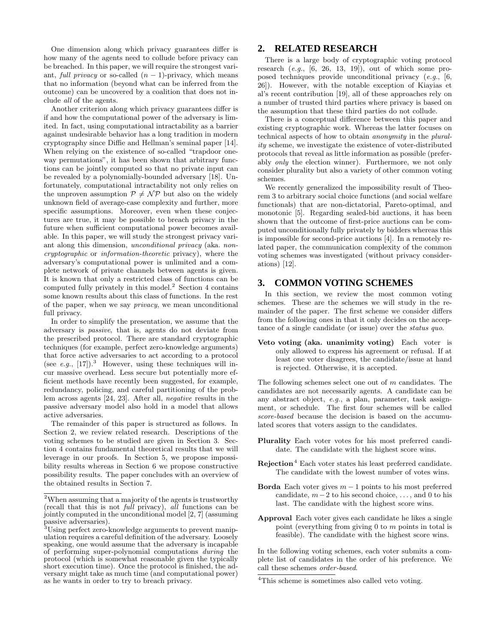One dimension along which privacy guarantees differ is how many of the agents need to collude before privacy can be breached. In this paper, we will require the strongest variant, full privacy or so-called  $(n - 1)$ -privacy, which means that no information (beyond what can be inferred from the outcome) can be uncovered by a coalition that does not include all of the agents.

Another criterion along which privacy guarantees differ is if and how the computational power of the adversary is limited. In fact, using computational intractability as a barrier against undesirable behavior has a long tradition in modern cryptography since Diffie and Hellman's seminal paper [14]. When relying on the existence of so-called "trapdoor oneway permutations", it has been shown that arbitrary functions can be jointly computed so that no private input can be revealed by a polynomially-bounded adversary [18]. Unfortunately, computational intractability not only relies on the unproven assumption  $P \neq \mathcal{NP}$  but also on the widely unknown field of average-case complexity and further, more specific assumptions. Moreover, even when these conjectures are true, it may be possible to breach privacy in the future when sufficient computational power becomes available. In this paper, we will study the strongest privacy variant along this dimension, unconditional privacy (aka. noncryptographic or information-theoretic privacy), where the adversary's computational power is unlimited and a complete network of private channels between agents is given. It is known that only a restricted class of functions can be computed fully privately in this model.<sup>2</sup> Section 4 contains some known results about this class of functions. In the rest of the paper, when we say privacy, we mean unconditional full privacy.

In order to simplify the presentation, we assume that the adversary is passive, that is, agents do not deviate from the prescribed protocol. There are standard cryptographic techniques (for example, perfect zero-knowledge arguments) that force active adversaries to act according to a protocol (see e.g.,  $[17]$ ).<sup>3</sup> However, using these techniques will incur massive overhead. Less secure but potentially more efficient methods have recently been suggested, for example, redundancy, policing, and careful partitioning of the problem across agents [24, 23]. After all, negative results in the passive adversary model also hold in a model that allows active adversaries.

The remainder of this paper is structured as follows. In Section 2, we review related research. Descriptions of the voting schemes to be studied are given in Section 3. Section 4 contains fundamental theoretical results that we will leverage in our proofs. In Section 5, we propose impossibility results whereas in Section 6 we propose constructive possibility results. The paper concludes with an overview of the obtained results in Section 7.

### **2. RELATED RESEARCH**

There is a large body of cryptographic voting protocol research  $(e,q, [6, 26, 13, 19])$ , out of which some proposed techniques provide unconditional privacy (e.g., [6, 26]). However, with the notable exception of Kiayias et al's recent contribution [19], all of these approaches rely on a number of trusted third parties where privacy is based on the assumption that these third parties do not collude.

There is a conceptual difference between this paper and existing cryptographic work. Whereas the latter focuses on technical aspects of how to obtain anonymity in the plurality scheme, we investigate the existence of voter-distributed protocols that reveal as little information as possible (preferably only the election winner). Furthermore, we not only consider plurality but also a variety of other common voting schemes.

We recently generalized the impossibility result of Theorem 3 to arbitrary social choice functions (and social welfare functionals) that are non-dictatorial, Pareto-optimal, and monotonic [5]. Regarding sealed-bid auctions, it has been shown that the outcome of first-price auctions can be computed unconditionally fully privately by bidders whereas this is impossible for second-price auctions [4]. In a remotely related paper, the communication complexity of the common voting schemes was investigated (without privacy considerations) [12].

### **3. COMMON VOTING SCHEMES**

In this section, we review the most common voting schemes. These are the schemes we will study in the remainder of the paper. The first scheme we consider differs from the following ones in that it only decides on the acceptance of a single candidate (or issue) over the status quo.

Veto voting (aka. unanimity voting) Each voter is only allowed to express his agreement or refusal. If at least one voter disagrees, the candidate/issue at hand is rejected. Otherwise, it is accepted.

The following schemes select one out of m candidates. The candidates are not necessarily agents. A candidate can be any abstract object, e.g., a plan, parameter, task assignment, or schedule. The first four schemes will be called score-based because the decision is based on the accumulated scores that voters assign to the candidates.

- Plurality Each voter votes for his most preferred candidate. The candidate with the highest score wins.
- **Rejection**<sup>4</sup> Each voter states his least preferred candidate. The candidate with the lowest number of votes wins.
- Borda Each voter gives  $m-1$  points to his most preferred candidate,  $m-2$  to his second choice, ..., and 0 to his last. The candidate with the highest score wins.
- Approval Each voter gives each candidate he likes a single point (everything from giving  $0$  to  $m$  points in total is feasible). The candidate with the highest score wins.

In the following voting schemes, each voter submits a complete list of candidates in the order of his preference. We call these schemes order-based.

<sup>2</sup>When assuming that a majority of the agents is trustworthy (recall that this is not *full* privacy),  $\overline{all}$  functions can be jointly computed in the unconditional model [2, 7] (assuming passive adversaries).

<sup>&</sup>lt;sup>3</sup>Using perfect zero-knowledge arguments to prevent manipulation requires a careful definition of the adversary. Loosely speaking, one would assume that the adversary is incapable of performing super-polynomial computations during the protocol (which is somewhat reasonable given the typically short execution time). Once the protocol is finished, the adversary might take as much time (and computational power) as he wants in order to try to breach privacy.

<sup>&</sup>lt;sup>4</sup>This scheme is sometimes also called veto voting.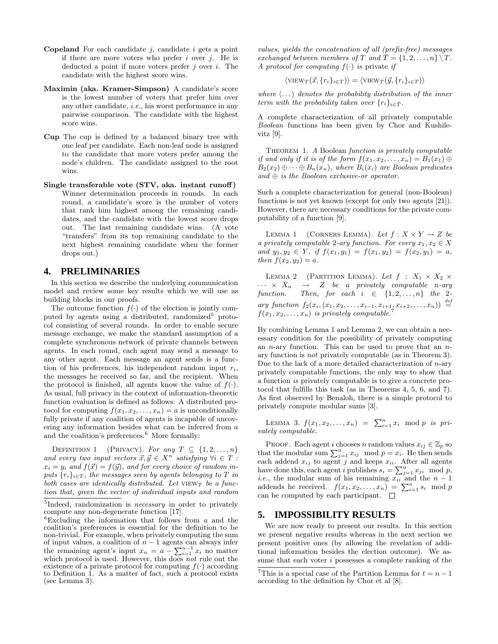- **Copeland** For each candidate  $i$ , candidate  $i$  gets a point if there are more voters who prefer i over  $i$ . He is deducted a point if more voters prefer  $j$  over  $i$ . The candidate with the highest score wins.
- Maximin (aka. Kramer-Simpson) A candidate's score is the lowest number of voters that prefer him over any other candidate, i.e., his worst performance in any pairwise comparison. The candidate with the highest score wins.
- Cup The cup is defined by a balanced binary tree with one leaf per candidate. Each non-leaf node is assigned to the candidate that more voters prefer among the node's children. The candidate assigned to the root wins.
- Single transferable vote (STV, aka. instant runoff) Winner determination proceeds in rounds. In each round, a candidate's score is the number of voters that rank him highest among the remaining candidates, and the candidate with the lowest score drops out. The last remaining candidate wins. (A vote "transfers" from its top remaining candidate to the next highest remaining candidate when the former drops out.)

### **4. PRELIMINARIES**

In this section we describe the underlying communication model and review some key results which we will use as building blocks in our proofs.

The outcome function  $f(.)$  of the election is jointly computed by agents using a distributed, randomized<sup>5</sup> protocol consisting of several rounds. In order to enable secure message exchange, we make the standard assumption of a complete synchronous network of private channels between agents. In each round, each agent may send a message to any other agent. Each message an agent sends is a function of his preferences, his independent random input  $r_i$ , the messages he received so far, and the recipient. When the protocol is finished, all agents know the value of  $f(.)$ . As usual, full privacy in the context of information-theoretic function evaluation is defined as follows: A distributed protocol for computing  $f(x_1, x_2, \ldots, x_n) = a$  is unconditionally fully private if any coalition of agents is incapable of uncovering any information besides what can be inferred from a and the coalition's preferences.  $\!6\,$  More formally:

DEFINITION 1 (PRIVACY). For any  $T \subseteq \{1, 2, ..., n\}$ and every two input vectors  $\vec{x}, \vec{y} \in X^n$  satisfying  $\forall i \in T$ :  $x_i = y_i$  and  $f(\vec{x}) = f(\vec{y})$ , and for every choice of random inputs  $\{r_i\}_{i\in T}$ , the messages seen by agents belonging to T in both cases are identically distributed. Let  $VIEWT$  be a function that, given the vector of individual inputs and random values, yields the concatenation of all (prefix-free) messages exchanged between members of T and  $\overline{T} = \{1, 2, ..., n\} \setminus T$ . A protocol for computing  $f(.)$  is private if

$$
\langle \text{VIEW}_T(\vec{x}, \{r_i\}_{i \in T}) \rangle = \langle \text{VIEW}_T(\vec{y}, \{r_i\}_{i \in T}) \rangle
$$

where  $\langle \ldots \rangle$  denotes the probability distribution of the inner term with the probability taken over  $\{r_i\}_{i\in\bar{T}}$ .

A complete characterization of all privately computable Boolean functions has been given by Chor and Kushilevitz [9].

THEOREM 1. A Boolean function is privately computable if and only if it is of the form  $f(x_1, x_2, \ldots, x_n) = B_1(x_1) \oplus$  $B_2(x_2) \oplus \cdots \oplus B_n(x_n)$ , where  $B_i(x_i)$  are Boolean predicates  $and \oplus is the Boolean exclusive-or operator.$ 

Such a complete characterization for general (non-Boolean) functions is not yet known (except for only two agents [21]). However, there are necessary conditions for the private computability of a function [9].

LEMMA 1 (CORNERS LEMMA). Let  $f: X \times Y \rightarrow Z$  be a privately computable 2-ary function. For every  $x_1, x_2 \in X$ and  $y_1, y_2 \in Y$ , if  $f(x_1, y_1) = f(x_1, y_2) = f(x_2, y_1) = a$ , then  $f(x_2, y_2) = a$ .

LEMMA 2 (PARTITION LEMMA). Let  $f : X_1 \times X_2 \times$  $\cdots \times X_n \rightarrow Z$  be a privately computable n-ary function. Then, for each  $i \in \{1, 2, ..., n\}$  the 2ary function  $f_2(x_i, (x_1, x_2, \ldots, x_{i-1}, x_{i+1}, x_{i+2}, \ldots, x_n)) \stackrel{def}{=}$  $f(x_1, x_2, \ldots, x_n)$  is privately computable.<sup>7</sup>

By combining Lemma 1 and Lemma 2, we can obtain a necessary condition for the possibility of privately computing an *n*-ary function. This can be used to prove that an  $n$ ary function is not privately computable (as in Theorem 3). Due to the lack of a more detailed characterization of  $n$ -ary privately computable functions, the only way to show that a function is privately computable is to give a concrete protocol that fulfills this task (as in Theorems 4, 5, 6, and 7). As first observed by Benaloh, there is a simple protocol to privately compute modular sums [3].

LEMMA 3.  $f(x_1, x_2, ..., x_n) = \sum_{i=1}^n x_i \mod p$  is privately computable.

PROOF. Each agent i chooses n random values  $x_{ij} \in \mathbb{Z}_p$  so that the modular sum  $\sum_{j=1}^{n} x_{ij} \mod p = x_i$ . He then sends each addend  $x_{ij}$  to agent j and keeps  $x_{ii}$ . After all agents have done this, each agent i publishes  $s_i = \sum_{j=1}^n x_{ji} \mod p$ , *i.e.*, the modular sum of his remaining  $x_{ii}$  and the  $n-1$ addends he received.  $f(x_1, x_2, \ldots, x_n) = \sum_{i=1}^n s_i \mod p$ can be computed by each participant.  $\quad \Box$ 

### **5. IMPOSSIBILITY RESULTS**

We are now ready to present our results. In this section we present negative results whereas in the next section we present positive ones (by allowing the revelation of additional information besides the election outcome). We assume that each voter i possesses a complete ranking of the

<sup>&</sup>lt;sup>5</sup>Indeed, randomization is *necessary* in order to privately compute any non-degenerate function [17].

 ${}^{6}$ Excluding the information that follows from a and the coalition's preferences is essential for the definition to be non-trivial. For example, when privately computing the sum of input values, a coalition of  $n-1$  agents can always infer the remaining agent's input  $x_n = a - \sum_{i=1}^{n-1} x_i$  no matter which protocol is used. However, this does not rule out the existence of a private protocol for computing  $f(\cdot)$  according to Definition 1. As a matter of fact, such a protocol exists (see Lemma 3).

<sup>&</sup>lt;sup>7</sup>This is a special case of the Partition Lemma for  $t = n - 1$ according to the definition by Chor et al [8].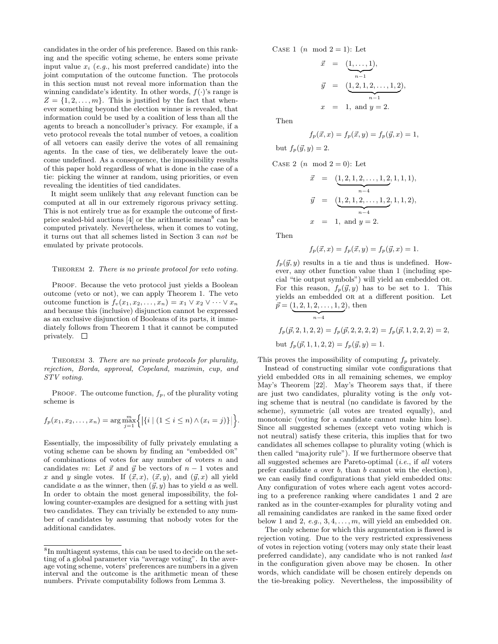candidates in the order of his preference. Based on this ranking and the specific voting scheme, he enters some private input value  $x_i$  (e.g., his most preferred candidate) into the joint computation of the outcome function. The protocols in this section must not reveal more information than the winning candidate's identity. In other words,  $f(\cdot)$ 's range is  $Z = \{1, 2, \ldots, m\}$ . This is justified by the fact that whenever something beyond the election winner is revealed, that information could be used by a coalition of less than all the agents to breach a noncolluder's privacy. For example, if a veto protocol reveals the total number of vetoes, a coalition of all vetoers can easily derive the votes of all remaining agents. In the case of ties, we deliberately leave the outcome undefined. As a consequence, the impossibility results of this paper hold regardless of what is done in the case of a tie: picking the winner at random, using priorities, or even revealing the identities of tied candidates.

It might seem unlikely that any relevant function can be computed at all in our extremely rigorous privacy setting. This is not entirely true as for example the outcome of firstprice sealed-bid auctions  $[4]$  or the arithmetic mean<sup>8</sup> can be computed privately. Nevertheless, when it comes to voting, it turns out that all schemes listed in Section 3 can not be emulated by private protocols.

#### THEOREM 2. There is no private protocol for veto voting.

PROOF. Because the veto protocol just yields a Boolean outcome (veto or not), we can apply Theorem 1. The veto outcome function is  $f_v(x_1, x_2, \ldots, x_n) = x_1 \vee x_2 \vee \cdots \vee x_n$ and because this (inclusive) disjunction cannot be expressed as an exclusive disjunction of Booleans of its parts, it immediately follows from Theorem 1 that it cannot be computed privately.  $\Box$ 

THEOREM 3. There are no private protocols for plurality, rejection, Borda, approval, Copeland, maximin, cup, and STV voting.

PROOF. The outcome function,  $f_p$ , of the plurality voting scheme is

$$
f_p(x_1, x_2,..., x_n) = \arg \max_{j=1}^m \Big{ | \{i \mid (1 \leq i \leq n) \land (x_i = j) \} | \Big}.
$$

Essentially, the impossibility of fully privately emulating a voting scheme can be shown by finding an "embedded or" of combinations of votes for any number of voters  $n$  and candidates m: Let  $\vec{x}$  and  $\vec{y}$  be vectors of  $n - 1$  votes and x and y single votes. If  $(\vec{x}, x)$ ,  $(\vec{x}, y)$ , and  $(\vec{y}, x)$  all yield candidate a as the winner, then  $(\vec{y}, y)$  has to yield a as well. In order to obtain the most general impossibility, the following counter-examples are designed for a setting with just two candidates. They can trivially be extended to any number of candidates by assuming that nobody votes for the additional candidates.

CASE 1  $(n \mod 2 = 1)$ : Let

$$
\vec{x} = (\underbrace{1, \dots, 1}_{n-1}),
$$
\n
$$
\vec{y} = (\underbrace{1, 2, 1, 2, \dots, 1, 2}_{n-1}),
$$
\n
$$
x = 1, \text{ and } y = 2.
$$

Then

$$
f_p(\vec{x}, x) = f_p(\vec{x}, y) = f_p(\vec{y}, x) = 1,
$$

but  $f_p(\vec{y}, y) = 2$ .

CASE 2  $(n \mod 2 = 0)$ : Let

$$
\vec{x} = (\underbrace{1, 2, 1, 2, \dots, 1, 2}_{n-4}, 1, 1, 1),
$$
\n
$$
\vec{y} = (\underbrace{1, 2, 1, 2, \dots, 1, 2}_{n-4}, 1, 1, 2),
$$
\n
$$
x = 1, \text{ and } y = 2.
$$

Then

$$
f_p(\vec{x}, x) = f_p(\vec{x}, y) = f_p(\vec{y}, x) = 1.
$$

 $f_p(\vec{y}, y)$  results in a tie and thus is undefined. However, any other function value than 1 (including special "tie output symbols") will yield an embedded or. For this reason,  $f_p(\vec{y}, y)$  has to be set to 1. This yields an embedded or at a different position. Let  $\vec{p} = (\underbrace{1, 2, 1, 2, \dots, 1, 2}_{n-4}), \text{ then}$ ), then

$$
f_p(\vec{p}, 2, 1, 2, 2) = f_p(\vec{p}, 2, 2, 2, 2) = f_p(\vec{p}, 1, 2, 2, 2) = 2,
$$
  
but  $f_p(\vec{p}, 1, 1, 2, 2) = f_p(\vec{y}, y) = 1.$ 

This proves the impossibility of computing  $f_p$  privately.

 $\max_{j=1}^{m} \{|i \mid (1 \leq i \leq n) \wedge (x_i = j)\}|$ . monotonic (voting for a candidate cannot make him lose). Instead of constructing similar vote configurations that yield embedded ors in all remaining schemes, we employ May's Theorem [22]. May's Theorem says that, if there are just two candidates, plurality voting is the only voting scheme that is neutral (no candidate is favored by the scheme), symmetric (all votes are treated equally), and Since all suggested schemes (except veto voting which is not neutral) satisfy these criteria, this implies that for two candidates all schemes collapse to plurality voting (which is then called "majority rule"). If we furthermore observe that all suggested schemes are Pareto-optimal (i.e., if all voters prefer candidate a over b, than b cannot win the election), we can easily find configurations that yield embedded ORS: Any configuration of votes where each agent votes according to a preference ranking where candidates 1 and 2 are ranked as in the counter-examples for plurality voting and all remaining candidates are ranked in the same fixed order below 1 and 2, e.g.,  $3, 4, \ldots, m$ , will yield an embedded OR.

The only scheme for which this argumentation is flawed is rejection voting. Due to the very restricted expressiveness of votes in rejection voting (voters may only state their least preferred candidate), any candidate who is not ranked last in the configuration given above may be chosen. In other words, which candidate will be chosen entirely depends on the tie-breaking policy. Nevertheless, the impossibility of

<sup>8</sup> In multiagent systems, this can be used to decide on the setting of a global parameter via "average voting". In the average voting scheme, voters' preferences are numbers in a given interval and the outcome is the arithmetic mean of these numbers. Private computability follows from Lemma 3.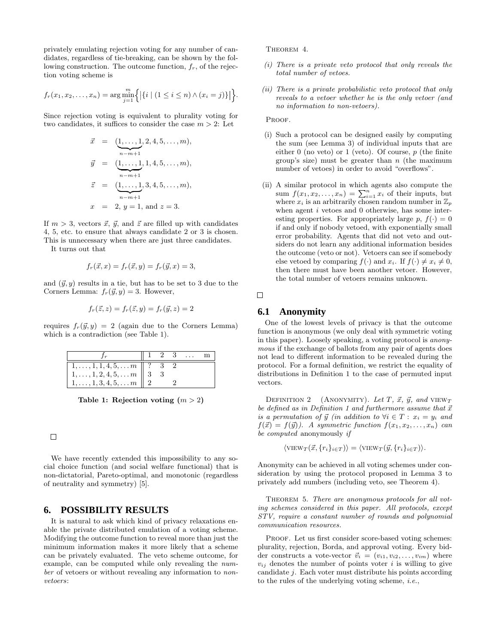privately emulating rejection voting for any number of candidates, regardless of tie-breaking, can be shown by the following construction. The outcome function,  $f_r$ , of the rejection voting scheme is

$$
f_r(x_1, x_2,..., x_n) = \arg\min_{j=1}^m \Big\{ |\{i \mid (1 \le i \le n) \land (x_i = j)\}| \Big\}.
$$

Since rejection voting is equivalent to plurality voting for two candidates, it suffices to consider the case  $m > 2$ : Let

$$
\vec{x} = (\underbrace{1, \ldots, 1}_{n-m+1}, 2, 4, 5, \ldots, m),
$$
  
\n
$$
\vec{y} = (\underbrace{1, \ldots, 1}_{n-m+1}, 1, 4, 5, \ldots, m),
$$
  
\n
$$
\vec{z} = (\underbrace{1, \ldots, 1}_{n-m+1}, 3, 4, 5, \ldots, m),
$$
  
\n
$$
x = 2, y = 1, \text{ and } z = 3.
$$

If  $m > 3$ , vectors  $\vec{x}$ ,  $\vec{y}$ , and  $\vec{z}$  are filled up with candidates 4, 5, etc. to ensure that always candidate 2 or 3 is chosen. This is unnecessary when there are just three candidates.

It turns out that

$$
f_r(\vec{x}, x) = f_r(\vec{x}, y) = f_r(\vec{y}, x) = 3,
$$

and  $(\vec{y}, y)$  results in a tie, but has to be set to 3 due to the Corners Lemma:  $f_r(\vec{y}, y) = 3$ . However,

$$
f_r(\vec{z}, z) = f_r(\vec{z}, y) = f_r(\vec{y}, z) = 2
$$

requires  $f_r(\vec{y}, y) = 2$  (again due to the Corners Lemma) which is a contradiction (see Table 1).

|                                                            |  | 2 3 |  |
|------------------------------------------------------------|--|-----|--|
| $\mid 1, \ldots, 1, 1, 4, 5, \ldots m \mid \mid ? \quad 3$ |  |     |  |
| $1, \ldots, 1, 2, 4, 5, \ldots m \parallel 3$              |  |     |  |
| $\mid 1, \ldots, 1, 3, 4, 5, \ldots m \mid 2$              |  |     |  |

Table 1: Rejection voting  $(m > 2)$ 

### $\Box$

We have recently extended this impossibility to any social choice function (and social welfare functional) that is non-dictatorial, Pareto-optimal, and monotonic (regardless of neutrality and symmetry) [5].

### **6. POSSIBILITY RESULTS**

It is natural to ask which kind of privacy relaxations enable the private distributed emulation of a voting scheme. Modifying the outcome function to reveal more than just the minimum information makes it more likely that a scheme can be privately evaluated. The veto scheme outcome, for example, can be computed while only revealing the number of vetoers or without revealing any information to nonvetoers:

THEOREM 4.

- (i) There is a private veto protocol that only reveals the total number of vetoes.
- $\lim_{j=1}^{m} \Big\{ \big|\{i \mid (1 \leq i \leq n) \wedge (x_i = j)\}\big|\Big\}.$  (ii) There is a product production of protocol that only  $\{x_i\}$  $\begin{bmatrix} 1 \end{bmatrix}$  (ii) There is a private probabilistic veto protocol that only no information to non-vetoers).

PROOF.

- ${z}$  and  ${z}$  either 0 (no veto) or 1 (veto). Of course, p (the finite  $\overrightarrow{z}$  and  $\overrightarrow{z}$  is  $\overrightarrow{z}$  in order to avoid "overflows". (i) Such a protocol can be designed easily by computing the sum (see Lemma 3) of individual inputs that are group's size) must be greater than  $n$  (the maximum
- $\sum_{n=m+1}^{\infty}$  sum  $f(x_1, x_2, \ldots, x_n) = \sum_{i=1}^n x_i$  of their inputs, but (ii) A similar protocol in which agents also compute the where  $x_i$  is an arbitrarily chosen random number in  $\mathbb{Z}_p$ when agent  $i$  vetoes and  $0$  otherwise, has some interesting properties. For appropriately large p,  $f(.) = 0$ if and only if nobody vetoed, with exponentially small error probability. Agents that did not veto and outsiders do not learn any additional information besides the outcome (veto or not). Vetoers can see if somebody else vetoed by comparing  $f(\cdot)$  and  $x_i$ . If  $f(\cdot) \neq x_i \neq 0$ , then there must have been another vetoer. However, the total number of vetoers remains unknown.

 $\Box$ 

### **6.1 Anonymity**

One of the lowest levels of privacy is that the outcome function is anonymous (we only deal with symmetric voting in this paper). Loosely speaking, a voting protocol is anonymous if the exchange of ballots from any pair of agents does not lead to different information to be revealed during the protocol. For a formal definition, we restrict the equality of distributions in Definition 1 to the case of permuted input vectors.

DEFINITION 2 (ANONYMITY). Let T,  $\vec{x}$ ,  $\vec{y}$ , and VIEWT be defined as in Definition 1 and furthermore assume that  $\vec{x}$ is a permutation of  $\vec{y}$  (in addition to  $\forall i \in T : x_i = y_i$  and  $f(\vec{x}) = f(\vec{y})$ . A symmetric function  $f(x_1, x_2, \ldots, x_n)$  can be computed anonymously if

$$
\langle \text{VIEW}_T(\vec{x}, \{r_i\}_{i \in T}) \rangle = \langle \text{VIEW}_T(\vec{y}, \{r_i\}_{i \in T}) \rangle.
$$

Anonymity can be achieved in all voting schemes under consideration by using the protocol proposed in Lemma 3 to privately add numbers (including veto, see Theorem 4).

THEOREM 5. There are anonymous protocols for all voting schemes considered in this paper. All protocols, except STV, require a constant number of rounds and polynomial communication resources.

PROOF. Let us first consider score-based voting schemes: plurality, rejection, Borda, and approval voting. Every bidder constructs a vote-vector  $\vec{v}_i = (v_{i1}, v_{i2}, \dots, v_{im})$  where  $v_{ij}$  denotes the number of points voter i is willing to give candidate j. Each voter must distribute his points according to the rules of the underlying voting scheme, i.e.,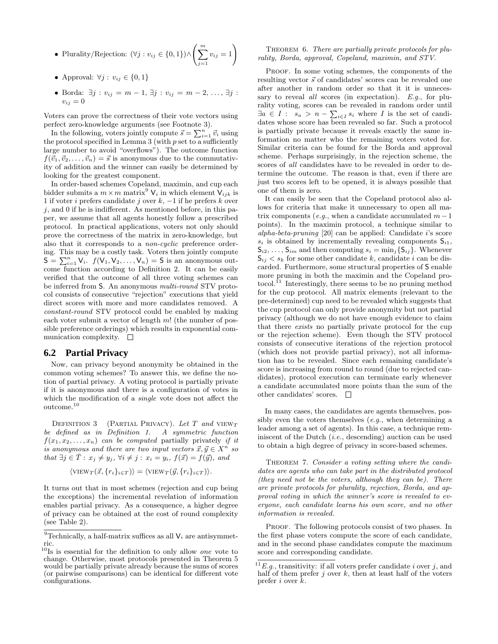- Plurality/Rejection:  $(\forall j : v_{ij} \in \{0,1\}) \wedge \left(\sum_{i=1}^{m} \frac{1}{j} \right)$  $j=1$
- Approval:  $\forall j : v_{ij} \in \{0, 1\}$
- Borda:  $\exists j : v_{ij} = m 1, \exists j : v_{ij} = m 2, ..., \exists j$ :  $v_{ij} = 0$

Voters can prove the correctness of their vote vectors using perfect zero-knowledge arguments (see Footnote 3).

In the following, voters jointly compute  $\vec{s} = \sum_{i=1}^{n} \vec{v}_i$  using the protocol specified in Lemma 3 (with  $p$  set to a sufficiently large number to avoid "overflows"). The outcome function  $f(\vec{v}_1,\vec{v}_2,\ldots,\vec{v}_n) = \vec{s}$  is anonymous due to the commutativity of addition and the winner can easily be determined by looking for the greatest component.

In order-based schemes Copeland, maximin, and cup each bidder submits a  $m \times m$  matrix<sup>9</sup>  $V_i$  in which element  $V_{ijk}$  is 1 if voter i prefers candidate j over  $k$ ,  $-1$  if he prefers k over  $j$ , and 0 if he is indifferent. As mentioned before, in this paper, we assume that all agents honestly follow a prescribed protocol. In practical applications, voters not only should prove the correctness of the matrix in zero-knowledge, but also that it corresponds to a non-cyclic preference ordering. This may be a costly task. Voters then jointly compute  $S = \sum_{i=1}^{n} V_i$ .  $f(V_1, V_2, \dots, V_n) = S$  is an anonymous outcome function according to Definition 2. It can be easily verified that the outcome of all three voting schemes can be inferred from S. An anonymous multi-round STV protocol consists of consecutive "rejection" executions that yield direct scores with more and more candidates removed. A constant-round STV protocol could be enabled by making each voter submit a vector of length m! (the number of possible preference orderings) which results in exponential communication complexity.  $\square$ 

### **6.2 Partial Privacy**

Now, can privacy beyond anonymity be obtained in the common voting schemes? To answer this, we define the notion of partial privacy. A voting protocol is partially private if it is anonymous and there is a configuration of votes in which the modification of a single vote does not affect the  $\rm outcome.^{10}$ 

DEFINITION 3 (PARTIAL PRIVACY). Let  $T$  and  $VIEW_T$ be defined as in Definition 1. A symmetric function  $f(x_1, x_2, \ldots, x_n)$  can be computed partially privately if it is anonymous and there are two input vectors  $\vec{x}, \vec{y} \in X^n$  so that  $\exists j \in \overline{T} : x_j \neq y_j, \forall i \neq j : x_i = y_i, f(\vec{x}) = f(\vec{y})$ , and

$$
\langle \text{VIEW}_T(\vec{x}, \{r_i\}_{i \in T}) \rangle = \langle \text{VIEW}_T(\vec{y}, \{r_i\}_{i \in T}) \rangle.
$$

It turns out that in most schemes (rejection and cup being the exceptions) the incremental revelation of information enables partial privacy. As a consequence, a higher degree of privacy can be obtained at the cost of round complexity (see Table 2).

### $v_{ij} = 1$  THEOREM 6. There are partially private protocols for plu-<br>relative Bords, approved Constant maximin, and STV rality, Borda, approval, Copeland, maximin, and STV.

PROOF. In some voting schemes, the components of the resulting vector  $\vec{s}$  of candidates' scores can be revealed one after another in random order so that it it is unnecessary to reveal *all* scores (in expectation).  $E.g.,$  for plurality voting, scores can be revealed in random order until  $\exists a \in I : s_a > n - \sum_{i \in I} s_i$  where I is the set of candidates whose score has been revealed so far. Such a protocol is partially private because it reveals exactly the same information no matter who the remaining voters voted for. Similar criteria can be found for the Borda and approval scheme. Perhaps surprisingly, in the rejection scheme, the scores of all candidates have to be revealed in order to determine the outcome. The reason is that, even if there are just two scores left to be opened, it is always possible that one of them is zero.

It can easily be seen that the Copeland protocol also allows for criteria that make it unnecessary to open all matrix components (e.g., when a candidate accumulated  $m-1$ points). In the maximin protocol, a technique similar to alpha-beta-pruning [20] can be applied: Candidate i's score  $s_i$  is obtained by incrementally revealing components  $S_{i1}$ ,  $S_{i2}, \ldots, S_{im}$  and then computing  $s_i = \min_j \{S_{ij}\}\$ . Whenever  $\mathsf{S}_{ij} < s_k$  for some other candidate k, candidate i can be discarded. Furthermore, some structural properties of S enable more pruning in both the maximin and the Copeland protocol.<sup>11</sup> Interestingly, there seems to be no pruning method for the cup protocol. All matrix elements (relevant to the pre-determined) cup need to be revealed which suggests that the cup protocol can only provide anonymity but not partial privacy (although we do not have enough evidence to claim that there exists no partially private protocol for the cup or the rejection scheme). Even though the STV protocol consists of consecutive iterations of the rejection protocol (which does not provide partial privacy), not all information has to be revealed. Since each remaining candidate's score is increasing from round to round (due to rejected candidates), protocol execution can terminate early whenever a candidate accumulated more points than the sum of the other candidates' scores.

In many cases, the candidates are agents themselves, possibly even the voters themselves  $(e.g.,$  when determining a leader among a set of agents). In this case, a technique reminiscent of the Dutch  $(i.e.,$  descending) auction can be used to obtain a high degree of privacy in score-based schemes.

THEOREM 7. Consider a voting setting where the candidates are agents who can take part in the distributed protocol (they need not be the voters, although they can be). There are private protocols for plurality, rejection, Borda, and approval voting in which the winner's score is revealed to everyone, each candidate learns his own score, and no other information is revealed.

PROOF. The following protocols consist of two phases. In the first phase voters compute the score of each candidate, and in the second phase candidates compute the maximum score and corresponding candidate.

 $^9\mbox{Technically, a half-matrix suffices as all } \mathsf{V}_i$  are antisymmetric.

 $10$ <sup>I</sup>s is essential for the definition to only allow *one* vote to change. Otherwise, most protocols presented in Theorem 5 would be partially private already because the sums of scores (or pairwise comparisons) can be identical for different vote configurations.

 $11 E.g.,$  transitivity: if all voters prefer candidate *i* over *j*, and half of them prefer j over  $k$ , then at least half of the voters prefer i over k.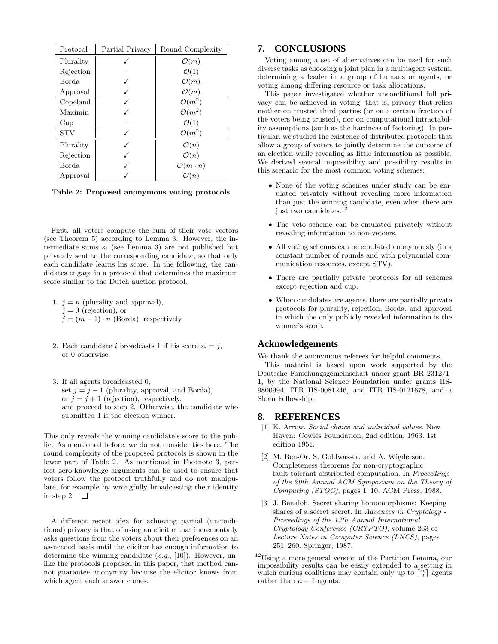| Protocol   | Partial Privacy | Round Complexity         |  |
|------------|-----------------|--------------------------|--|
| Plurality  |                 | $\mathcal{O}(m)$         |  |
| Rejection  |                 | $\mathcal{O}(1)$         |  |
| Borda      |                 | $\mathcal{O}(m)$         |  |
| Approval   |                 | $\mathcal{O}(m)$         |  |
| Copeland   |                 | $\mathcal{O}(m^2)$       |  |
| Maximin    |                 | $\mathcal{O}(m^2)$       |  |
| Cup        |                 | $\mathcal{O}(1)$         |  |
| <b>STV</b> |                 | $\mathcal{O}(m^2)$       |  |
| Plurality  |                 | $\mathcal{O}(n)$         |  |
| Rejection  |                 | $\mathcal{O}(n)$         |  |
| Borda      |                 | $\mathcal{O}(m \cdot n)$ |  |
| Approval   |                 | $\mathcal{O}(n)$         |  |

Table 2: Proposed anonymous voting protocols

First, all voters compute the sum of their vote vectors (see Theorem 5) according to Lemma 3. However, the intermediate sums  $s_i$  (see Lemma 3) are not published but privately sent to the corresponding candidate, so that only each candidate learns his score. In the following, the candidates engage in a protocol that determines the maximum score similar to the Dutch auction protocol.

- 1.  $j = n$  (plurality and approval),  $j = 0$  (rejection), or  $j = (m-1) \cdot n$  (Borda), respectively
- 2. Each candidate *i* broadcasts 1 if his score  $s_i = j$ , or 0 otherwise.
- 3. If all agents broadcasted 0, set  $j = j - 1$  (plurality, approval, and Borda), or  $j = j + 1$  (rejection), respectively, and proceed to step 2. Otherwise, the candidate who submitted 1 is the election winner.

This only reveals the winning candidate's score to the public. As mentioned before, we do not consider ties here. The round complexity of the proposed protocols is shown in the lower part of Table 2. As mentioned in Footnote 3, perfect zero-knowledge arguments can be used to ensure that voters follow the protocol truthfully and do not manipulate, for example by wrongfully broadcasting their identity in step 2.  $\square$ 

A different recent idea for achieving partial (unconditional) privacy is that of using an elicitor that incrementally asks questions from the voters about their preferences on an as-needed basis until the elicitor has enough information to determine the winning candidate  $(e.g., [10])$ . However, unlike the protocols proposed in this paper, that method cannot guarantee anonymity because the elicitor knows from which agent each answer comes.

# **7. CONCLUSIONS**

Voting among a set of alternatives can be used for such diverse tasks as choosing a joint plan in a multiagent system, determining a leader in a group of humans or agents, or voting among differing resource or task allocations.

This paper investigated whether unconditional full privacy can be achieved in voting, that is, privacy that relies neither on trusted third parties (or on a certain fraction of the voters being trusted), nor on computational intractability assumptions (such as the hardness of factoring). In particular, we studied the existence of distributed protocols that allow a group of voters to jointly determine the outcome of an election while revealing as little information as possible. We derived several impossibility and possibility results in this scenario for the most common voting schemes:

- None of the voting schemes under study can be emulated privately without revealing more information than just the winning candidate, even when there are just two candidates.
- The veto scheme can be emulated privately without revealing information to non-vetoers.
- All voting schemes can be emulated anonymously (in a constant number of rounds and with polynomial communication resources, except STV).
- There are partially private protocols for all schemes except rejection and cup.
- When candidates are agents, there are partially private protocols for plurality, rejection, Borda, and approval in which the only publicly revealed information is the winner's score.

### **Acknowledgements**

We thank the anonymous referees for helpful comments.

This material is based upon work supported by the Deutsche Forschungsgemeinschaft under grant BR 2312/1- 1, by the National Science Foundation under grants IIS-9800994, ITR IIS-0081246, and ITR IIS-0121678, and a Sloan Fellowship.

### **8. REFERENCES**

- [1] K. Arrow. Social choice and individual values. New Haven: Cowles Foundation, 2nd edition, 1963. 1st edition 1951.
- [2] M. Ben-Or, S. Goldwasser, and A. Wigderson. Completeness theorems for non-cryptographic fault-tolerant distributed computation. In Proceedings of the 20th Annual ACM Symposium on the Theory of Computing (STOC), pages 1–10. ACM Press, 1988.
- [3] J. Benaloh. Secret sharing homomorphisms: Keeping shares of a secret secret. In Advances in Cryptology - Proceedings of the 13th Annual International Cryptology Conference (CRYPTO), volume 263 of Lecture Notes in Computer Science (LNCS), pages 251–260. Springer, 1987.

<sup>12</sup>Using a more general version of the Partition Lemma, our impossibility results can be easily extended to a setting in which curious coalitions may contain only up to  $\lceil \frac{n}{2} \rceil$  agents rather than  $n - 1$  agents.